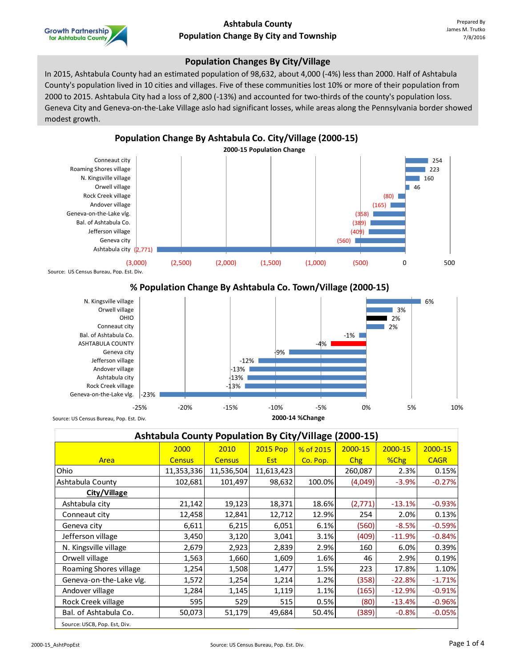

#### **Population Changes By City/Village**

In 2015, Ashtabula County had an estimated population of 98,632, about 4,000 (-4%) less than 2000. Half of Ashtabula County's population lived in 10 cities and villages. Five of these communities lost 10% or more of their population from 2000 to 2015. Ashtabula City had a loss of 2,800 (-13%) and accounted for two-thirds of the county's population loss. Geneva City and Geneva-on-the-Lake Village aslo had significant losses, while areas along the Pennsylvania border showed modest growth.



## **% Population Change By Ashtabula Co. Town/Village (2000-15)**



Source: US Census Bureau, Pop. Est. Div.

| Ashtabula County Population By City/Village (2000-15) |               |               |                 |           |         |          |             |  |  |  |  |
|-------------------------------------------------------|---------------|---------------|-----------------|-----------|---------|----------|-------------|--|--|--|--|
|                                                       | 2000          | 2010          | <b>2015 Pop</b> | % of 2015 | 2000-15 | 2000-15  | 2000-15     |  |  |  |  |
| Area                                                  | <b>Census</b> | <b>Census</b> | Est             | Co. Pop.  | Chg     | %Chg     | <b>CAGR</b> |  |  |  |  |
| Ohio                                                  | 11,353,336    | 11,536,504    | 11,613,423      |           | 260,087 | 2.3%     | 0.15%       |  |  |  |  |
| Ashtabula County                                      | 102,681       | 101,497       | 98,632          | 100.0%    | (4,049) | $-3.9%$  | $-0.27%$    |  |  |  |  |
| City/Village                                          |               |               |                 |           |         |          |             |  |  |  |  |
| Ashtabula city                                        | 21,142        | 19,123        | 18,371          | 18.6%     | (2,771) | $-13.1%$ | $-0.93%$    |  |  |  |  |
| Conneaut city                                         | 12,458        | 12,841        | 12,712          | 12.9%     | 254     | 2.0%     | 0.13%       |  |  |  |  |
| Geneva city                                           | 6,611         | 6,215         | 6,051           | 6.1%      | (560)   | $-8.5%$  | $-0.59%$    |  |  |  |  |
| Jefferson village                                     | 3,450         | 3,120         | 3,041           | 3.1%      | (409)   | $-11.9%$ | $-0.84%$    |  |  |  |  |
| N. Kingsville village                                 | 2,679         | 2,923         | 2,839           | 2.9%      | 160     | 6.0%     | 0.39%       |  |  |  |  |
| Orwell village                                        | 1,563         | 1,660         | 1,609           | 1.6%      | 46      | 2.9%     | 0.19%       |  |  |  |  |
| Roaming Shores village                                | 1,254         | 1,508         | 1,477           | 1.5%      | 223     | 17.8%    | 1.10%       |  |  |  |  |
| Geneva-on-the-Lake vlg.                               | 1,572         | 1,254         | 1,214           | 1.2%      | (358)   | $-22.8%$ | $-1.71%$    |  |  |  |  |
| Andover village                                       | 1,284         | 1,145         | 1,119           | 1.1%      | (165)   | $-12.9%$ | $-0.91%$    |  |  |  |  |
| Rock Creek village                                    | 595           | 529           | 515             | 0.5%      | (80)    | $-13.4%$ | $-0.96%$    |  |  |  |  |
| Bal. of Ashtabula Co.                                 | 50,073        | 51,179        | 49,684          | 50.4%     | (389)   | $-0.8%$  | $-0.05%$    |  |  |  |  |
| Source: USCB, Pop. Est, Div.                          |               |               |                 |           |         |          |             |  |  |  |  |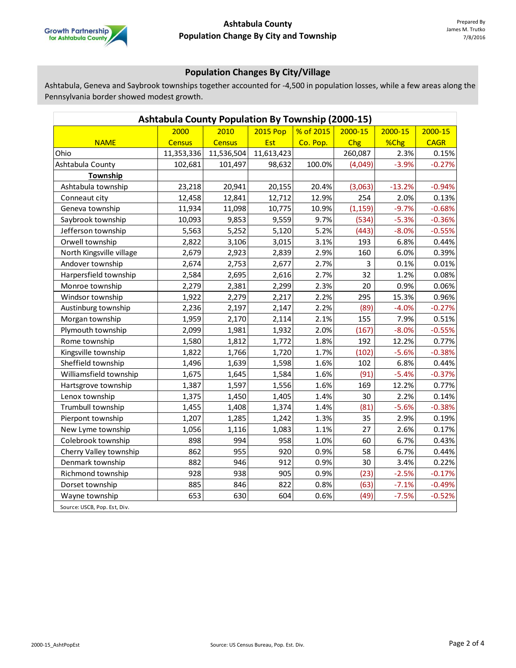

# **Population Changes By City/Village**

Ashtabula, Geneva and Saybrook townships together accounted for -4,500 in population losses, while a few areas along the Pennsylvania border showed modest growth.

| <b>Ashtabula County Population By Township (2000-15)</b> |               |               |                 |           |             |          |             |  |  |  |  |
|----------------------------------------------------------|---------------|---------------|-----------------|-----------|-------------|----------|-------------|--|--|--|--|
|                                                          | 2000          | 2010          | <b>2015 Pop</b> | % of 2015 | $2000 - 15$ | 2000-15  | $2000 - 15$ |  |  |  |  |
| <b>NAME</b>                                              | <b>Census</b> | <b>Census</b> | Est             | Co. Pop.  | Chg         | %Chg     | <b>CAGR</b> |  |  |  |  |
| Ohio                                                     | 11,353,336    | 11,536,504    | 11,613,423      |           | 260,087     | 2.3%     | 0.15%       |  |  |  |  |
| Ashtabula County                                         | 102,681       | 101,497       | 98,632          | 100.0%    | (4,049)     | $-3.9%$  | $-0.27%$    |  |  |  |  |
| Township                                                 |               |               |                 |           |             |          |             |  |  |  |  |
| Ashtabula township                                       | 23,218        | 20,941        | 20,155          | 20.4%     | (3,063)     | $-13.2%$ | $-0.94%$    |  |  |  |  |
| Conneaut city                                            | 12,458        | 12,841        | 12,712          | 12.9%     | 254         | 2.0%     | 0.13%       |  |  |  |  |
| Geneva township                                          | 11,934        | 11,098        | 10,775          | 10.9%     | (1, 159)    | $-9.7%$  | $-0.68%$    |  |  |  |  |
| Saybrook township                                        | 10,093        | 9,853         | 9,559           | 9.7%      | (534)       | $-5.3%$  | $-0.36%$    |  |  |  |  |
| Jefferson township                                       | 5,563         | 5,252         | 5,120           | 5.2%      | (443)       | $-8.0%$  | $-0.55%$    |  |  |  |  |
| Orwell township                                          | 2,822         | 3,106         | 3,015           | 3.1%      | 193         | 6.8%     | 0.44%       |  |  |  |  |
| North Kingsville village                                 | 2,679         | 2,923         | 2,839           | 2.9%      | 160         | 6.0%     | 0.39%       |  |  |  |  |
| Andover township                                         | 2,674         | 2,753         | 2,677           | 2.7%      | 3           | 0.1%     | 0.01%       |  |  |  |  |
| Harpersfield township                                    | 2,584         | 2,695         | 2,616           | 2.7%      | 32          | 1.2%     | 0.08%       |  |  |  |  |
| Monroe township                                          | 2,279         | 2,381         | 2,299           | 2.3%      | 20          | 0.9%     | 0.06%       |  |  |  |  |
| Windsor township                                         | 1,922         | 2,279         | 2,217           | 2.2%      | 295         | 15.3%    | 0.96%       |  |  |  |  |
| Austinburg township                                      | 2,236         | 2,197         | 2,147           | 2.2%      | (89)        | $-4.0%$  | $-0.27%$    |  |  |  |  |
| Morgan township                                          | 1,959         | 2,170         | 2,114           | 2.1%      | 155         | 7.9%     | 0.51%       |  |  |  |  |
| Plymouth township                                        | 2,099         | 1,981         | 1,932           | 2.0%      | (167)       | $-8.0%$  | $-0.55%$    |  |  |  |  |
| Rome township                                            | 1,580         | 1,812         | 1,772           | 1.8%      | 192         | 12.2%    | 0.77%       |  |  |  |  |
| Kingsville township                                      | 1,822         | 1,766         | 1,720           | 1.7%      | (102)       | $-5.6%$  | $-0.38%$    |  |  |  |  |
| Sheffield township                                       | 1,496         | 1,639         | 1,598           | 1.6%      | 102         | 6.8%     | 0.44%       |  |  |  |  |
| Williamsfield township                                   | 1,675         | 1,645         | 1,584           | 1.6%      | (91)        | $-5.4%$  | $-0.37%$    |  |  |  |  |
| Hartsgrove township                                      | 1,387         | 1,597         | 1,556           | 1.6%      | 169         | 12.2%    | 0.77%       |  |  |  |  |
| Lenox township                                           | 1,375         | 1,450         | 1,405           | 1.4%      | 30          | 2.2%     | 0.14%       |  |  |  |  |
| Trumbull township                                        | 1,455         | 1,408         | 1,374           | 1.4%      | (81)        | $-5.6%$  | $-0.38%$    |  |  |  |  |
| Pierpont township                                        | 1,207         | 1,285         | 1,242           | 1.3%      | 35          | 2.9%     | 0.19%       |  |  |  |  |
| New Lyme township                                        | 1,056         | 1,116         | 1,083           | 1.1%      | 27          | 2.6%     | 0.17%       |  |  |  |  |
| Colebrook township                                       | 898           | 994           | 958             | 1.0%      | 60          | 6.7%     | 0.43%       |  |  |  |  |
| Cherry Valley township                                   | 862           | 955           | 920             | 0.9%      | 58          | 6.7%     | 0.44%       |  |  |  |  |
| Denmark township                                         | 882           | 946           | 912             | 0.9%      | 30          | 3.4%     | 0.22%       |  |  |  |  |
| Richmond township                                        | 928           | 938           | 905             | 0.9%      | (23)        | $-2.5%$  | $-0.17%$    |  |  |  |  |
| Dorset township                                          | 885           | 846           | 822             | 0.8%      | (63)        | $-7.1%$  | $-0.49%$    |  |  |  |  |
| Wayne township                                           | 653           | 630           | 604             | 0.6%      | (49)        | $-7.5%$  | $-0.52%$    |  |  |  |  |
| Source: USCB, Pop. Est, Div.                             |               |               |                 |           |             |          |             |  |  |  |  |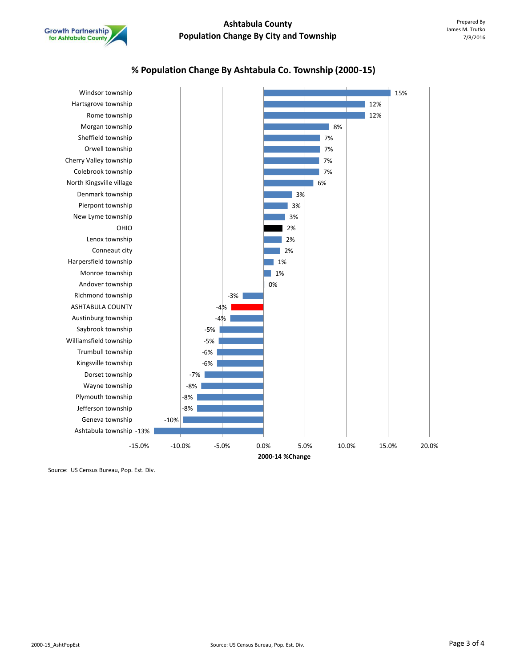

## **% Population Change By Ashtabula Co. Township (2000-15)**



Source: US Census Bureau, Pop. Est. Div.

**Growth Partnership** for Ashtabula County